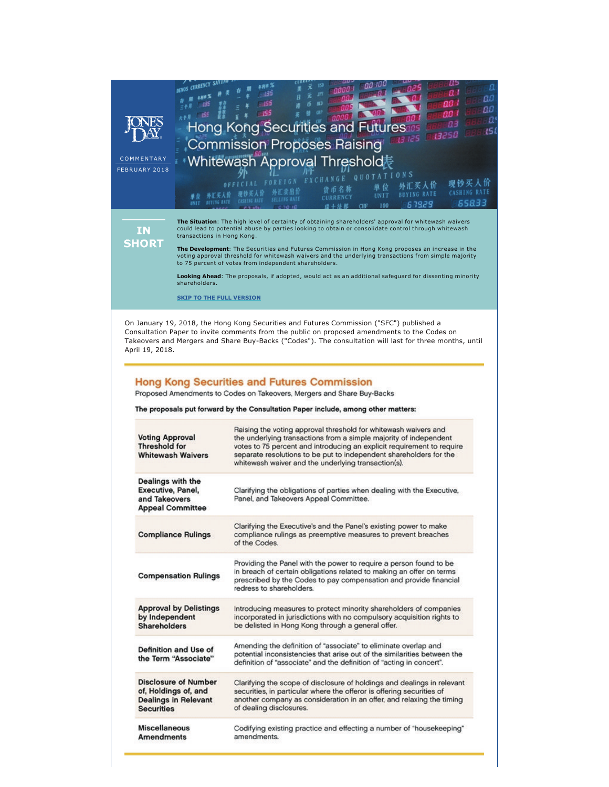| COMMENTARY<br>FEBRUARY 2018<br><b>IN</b><br><b>SHORT</b>                                                                                                                                                                                                                                                                                                                                                                                                                                                                                                                                                                                       | CURRENCY<br><b>BUTING RATE</b><br>transactions in Hong Kong.<br>shareholders.<br><b>SKIP TO THE FULL VERSION</b> | ш<br>а<br>аđ<br>ΩO<br>ao I<br>-455<br>αø<br>155<br>ao i<br>ΩО<br>B'<br>аз<br><b>Hong Kong Securities and</b><br>15I<br>13250<br>3 125<br><b>Commission Proposes Raising</b><br>Whitewash Approval Threshold表<br><b>ATIONS</b><br>E I G N<br>现钞买人价<br>外汇买人价<br>单位<br>货币名称<br>外汇卖出价<br><b>CASHING RATE</b><br><b>BUYING RATE</b><br>UNIT<br>CURRENCY<br>65833<br>6 7929<br>100<br>The Situation: The high level of certainty of obtaining shareholders' approval for whitewash waivers<br>could lead to potential abuse by parties looking to obtain or consolidate control through whitewash<br>The Development: The Securities and Futures Commission in Hong Kong proposes an increase in the<br>voting approval threshold for whitewash waivers and the underlying transactions from simple majority<br>to 75 percent of votes from independent shareholders.<br>Looking Ahead: The proposals, if adopted, would act as an additional safeguard for dissenting minority |
|------------------------------------------------------------------------------------------------------------------------------------------------------------------------------------------------------------------------------------------------------------------------------------------------------------------------------------------------------------------------------------------------------------------------------------------------------------------------------------------------------------------------------------------------------------------------------------------------------------------------------------------------|------------------------------------------------------------------------------------------------------------------|---------------------------------------------------------------------------------------------------------------------------------------------------------------------------------------------------------------------------------------------------------------------------------------------------------------------------------------------------------------------------------------------------------------------------------------------------------------------------------------------------------------------------------------------------------------------------------------------------------------------------------------------------------------------------------------------------------------------------------------------------------------------------------------------------------------------------------------------------------------------------------------------------------------------------------------------------------------------------|
| On January 19, 2018, the Hong Kong Securities and Futures Commission ("SFC") published a<br>Consultation Paper to invite comments from the public on proposed amendments to the Codes on<br>Takeovers and Mergers and Share Buy-Backs ("Codes"). The consultation will last for three months, until<br>April 19, 2018.                                                                                                                                                                                                                                                                                                                         |                                                                                                                  |                                                                                                                                                                                                                                                                                                                                                                                                                                                                                                                                                                                                                                                                                                                                                                                                                                                                                                                                                                           |
| <b>Hong Kong Securities and Futures Commission</b><br>Proposed Amendments to Codes on Takeovers, Mergers and Share Buy-Backs<br>The proposals put forward by the Consultation Paper include, among other matters:<br>Raising the voting approval threshold for whitewash waivers and<br><b>Voting Approval</b><br>the underlying transactions from a simple majority of independent<br><b>Threshold for</b><br>votes to 75 percent and introducing an explicit requirement to require<br>separate resolutions to be put to independent shareholders for the<br><b>Whitewash Waivers</b><br>whitewash waiver and the underlying transaction(s). |                                                                                                                  |                                                                                                                                                                                                                                                                                                                                                                                                                                                                                                                                                                                                                                                                                                                                                                                                                                                                                                                                                                           |
| Dealings with the<br>Executive, Panel,<br>and Takeovers<br><b>Appeal Committee</b>                                                                                                                                                                                                                                                                                                                                                                                                                                                                                                                                                             |                                                                                                                  | Clarifying the obligations of parties when dealing with the Executive,<br>Panel, and Takeovers Appeal Committee.                                                                                                                                                                                                                                                                                                                                                                                                                                                                                                                                                                                                                                                                                                                                                                                                                                                          |
|                                                                                                                                                                                                                                                                                                                                                                                                                                                                                                                                                                                                                                                | <b>Compliance Rulings</b>                                                                                        | Clarifying the Executive's and the Panel's existing power to make<br>compliance rulings as preemptive measures to prevent breaches<br>of the Codes.                                                                                                                                                                                                                                                                                                                                                                                                                                                                                                                                                                                                                                                                                                                                                                                                                       |
| <b>Compensation Rulings</b>                                                                                                                                                                                                                                                                                                                                                                                                                                                                                                                                                                                                                    |                                                                                                                  | Providing the Panel with the power to require a person found to be<br>in breach of certain obligations related to making an offer on terms<br>prescribed by the Codes to pay compensation and provide financial<br>redress to shareholders.                                                                                                                                                                                                                                                                                                                                                                                                                                                                                                                                                                                                                                                                                                                               |
| <b>Approval by Delistings</b><br>by Independent<br><b>Shareholders</b>                                                                                                                                                                                                                                                                                                                                                                                                                                                                                                                                                                         |                                                                                                                  | Introducing measures to protect minority shareholders of companies<br>incorporated in jurisdictions with no compulsory acquisition rights to<br>be delisted in Hong Kong through a general offer.                                                                                                                                                                                                                                                                                                                                                                                                                                                                                                                                                                                                                                                                                                                                                                         |
|                                                                                                                                                                                                                                                                                                                                                                                                                                                                                                                                                                                                                                                | Definition and Use of<br>the Term "Associate"                                                                    | Amending the definition of "associate" to eliminate overlap and<br>potential inconsistencies that arise out of the similarities between the<br>definition of "associate" and the definition of "acting in concert".                                                                                                                                                                                                                                                                                                                                                                                                                                                                                                                                                                                                                                                                                                                                                       |
| <b>Disclosure of Number</b><br>of, Holdings of, and<br><b>Dealings in Relevant</b><br><b>Securities</b>                                                                                                                                                                                                                                                                                                                                                                                                                                                                                                                                        |                                                                                                                  | Clarifying the scope of disclosure of holdings and dealings in relevant<br>securities, in particular where the offeror is offering securities of<br>another company as consideration in an offer, and relaxing the timing<br>of dealing disclosures.                                                                                                                                                                                                                                                                                                                                                                                                                                                                                                                                                                                                                                                                                                                      |
| <b>Miscellaneous</b><br><b>Amendments</b>                                                                                                                                                                                                                                                                                                                                                                                                                                                                                                                                                                                                      |                                                                                                                  | Codifying existing practice and effecting a number of "housekeeping"<br>amendments.                                                                                                                                                                                                                                                                                                                                                                                                                                                                                                                                                                                                                                                                                                                                                                                                                                                                                       |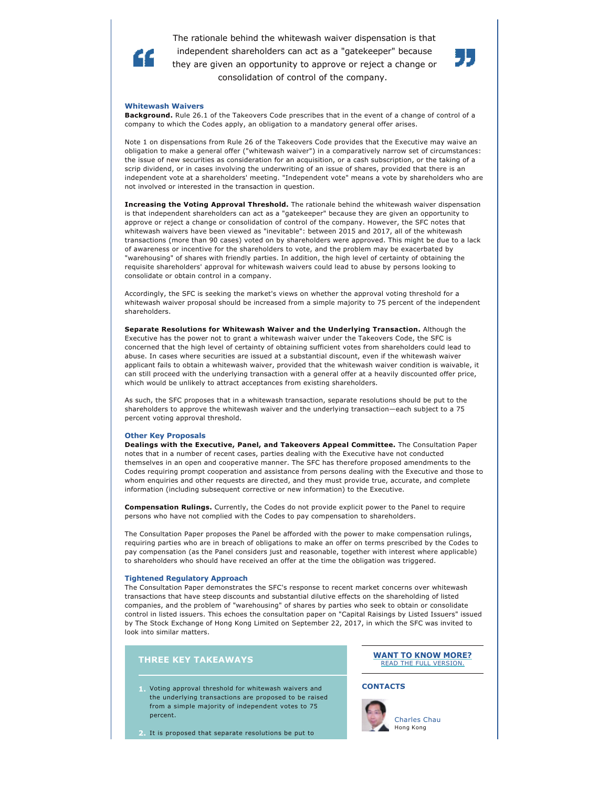The rationale behind the whitewash waiver dispensation is that independent shareholders can act as a "gatekeeper" because they are given an opportunity to approve or reject a change or consolidation of control of the company.



#### **Whitewash Waivers**

Æ.

**Background.** Rule 26.1 of the Takeovers Code prescribes that in the event of a change of control of a company to which the Codes apply, an obligation to a mandatory general offer arises.

Note 1 on dispensations from Rule 26 of the Takeovers Code provides that the Executive may waive an obligation to make a general offer ("whitewash waiver") in a comparatively narrow set of circumstances: the issue of new securities as consideration for an acquisition, or a cash subscription, or the taking of a scrip dividend, or in cases involving the underwriting of an issue of shares, provided that there is an independent vote at a shareholders' meeting. "Independent vote" means a vote by shareholders who are not involved or interested in the transaction in question.

**Increasing the Voting Approval Threshold.** The rationale behind the whitewash waiver dispensation is that independent shareholders can act as a "gatekeeper" because they are given an opportunity to approve or reject a change or consolidation of control of the company. However, the SFC notes that whitewash waivers have been viewed as "inevitable": between 2015 and 2017, all of the whitewash transactions (more than 90 cases) voted on by shareholders were approved. This might be due to a lack of awareness or incentive for the shareholders to vote, and the problem may be exacerbated by "warehousing" of shares with friendly parties. In addition, the high level of certainty of obtaining the requisite shareholders' approval for whitewash waivers could lead to abuse by persons looking to consolidate or obtain control in a company.

Accordingly, the SFC is seeking the market's views on whether the approval voting threshold for a whitewash waiver proposal should be increased from a simple majority to 75 percent of the independent shareholders.

**Separate Resolutions for Whitewash Waiver and the Underlying Transaction.** Although the Executive has the power not to grant a whitewash waiver under the Takeovers Code, the SFC is concerned that the high level of certainty of obtaining sufficient votes from shareholders could lead to abuse. In cases where securities are issued at a substantial discount, even if the whitewash waiver applicant fails to obtain a whitewash waiver, provided that the whitewash waiver condition is waivable, it can still proceed with the underlying transaction with a general offer at a heavily discounted offer price, which would be unlikely to attract acceptances from existing shareholders.

As such, the SFC proposes that in a whitewash transaction, separate resolutions should be put to the shareholders to approve the whitewash waiver and the underlying transaction—each subject to a 75 percent voting approval threshold.

### **Other Key Proposals**

**Dealings with the Executive, Panel, and Takeovers Appeal Committee.** The Consultation Paper notes that in a number of recent cases, parties dealing with the Executive have not conducted themselves in an open and cooperative manner. The SFC has therefore proposed amendments to the Codes requiring prompt cooperation and assistance from persons dealing with the Executive and those to whom enquiries and other requests are directed, and they must provide true, accurate, and complete information (including subsequent corrective or new information) to the Executive.

**Compensation Rulings.** Currently, the Codes do not provide explicit power to the Panel to require persons who have not complied with the Codes to pay compensation to shareholders.

The Consultation Paper proposes the Panel be afforded with the power to make compensation rulings, requiring parties who are in breach of obligations to make an offer on terms prescribed by the Codes to pay compensation (as the Panel considers just and reasonable, together with interest where applicable) to shareholders who should have received an offer at the time the obligation was triggered.

#### **Tightened Regulatory Approach**

The Consultation Paper demonstrates the SFC's response to recent market concerns over whitewash transactions that have steep discounts and substantial dilutive effects on the shareholding of listed companies, and the problem of "warehousing" of shares by parties who seek to obtain or consolidate control in listed issuers. This echoes the consultation paper on "Capital Raisings by Listed Issuers" issued by The Stock Exchange of Hong Kong Limited on September 22, 2017, in which the SFC was invited to look into similar matters.

## **THREE KEY TAKEAWAYS**

**1.** Voting approval threshold for whitewash waivers and the underlying transactions are proposed to be raised from a simple majority of independent votes to 75 percent.

**2.** It is proposed that separate resolutions be put to

# **[WANT TO KNOW MORE?](http://www.jonesday.com/hong-kong-securities-and-futures-commission-proposes-raising-whitewash-approval-threshold-02-12-2018/)** [READ THE FULL VERSION.](http://www.jonesday.com/hong-kong-securities-and-futures-commission-proposes-raising-whitewash-approval-threshold-02-12-2018/)

### **CONTACTS**



[Charles Chau](http://www.jonesday.com/cchau/)